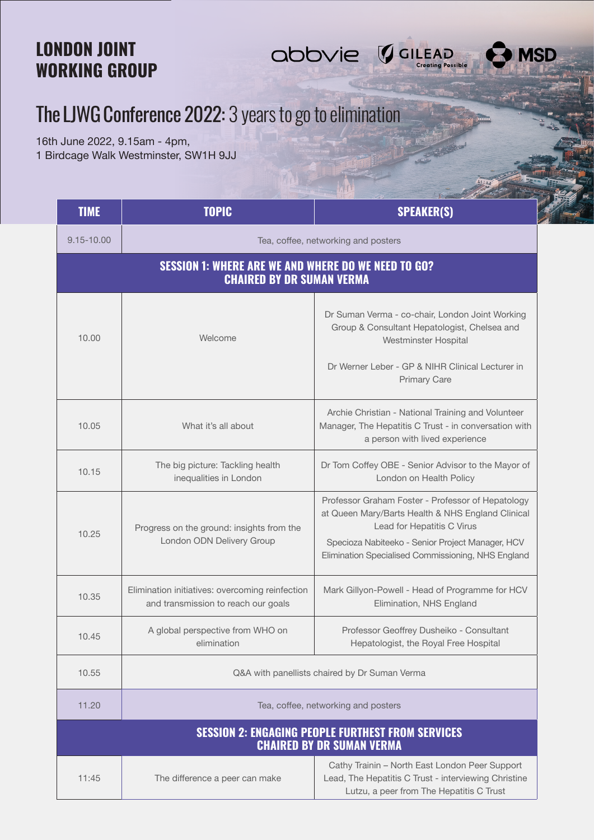## LONDON JOINT WORKING GROUP

## The LJWG Conference 2022: 3 years to go to elimination

16th June 2022, 9.15am - 4pm, 1 Birdcage Walk Westminster, SW1H 9JJ

| <b>TIME</b>                                                                                    | <b>TOPIC</b>                                                                           | <b>SPEAKER(S)</b>                                                                                                                                                                                                                              |  |
|------------------------------------------------------------------------------------------------|----------------------------------------------------------------------------------------|------------------------------------------------------------------------------------------------------------------------------------------------------------------------------------------------------------------------------------------------|--|
| 9.15-10.00                                                                                     | Tea, coffee, networking and posters                                                    |                                                                                                                                                                                                                                                |  |
| <b>SESSION 1: WHERE ARE WE AND WHERE DO WE NEED TO GO?</b><br><b>CHAIRED BY DR SUMAN VERMA</b> |                                                                                        |                                                                                                                                                                                                                                                |  |
| 10.00                                                                                          | Welcome                                                                                | Dr Suman Verma - co-chair, London Joint Working<br>Group & Consultant Hepatologist, Chelsea and<br>Westminster Hospital<br>Dr Werner Leber - GP & NIHR Clinical Lecturer in<br><b>Primary Care</b>                                             |  |
| 10.05                                                                                          | What it's all about                                                                    | Archie Christian - National Training and Volunteer<br>Manager, The Hepatitis C Trust - in conversation with<br>a person with lived experience                                                                                                  |  |
| 10.15                                                                                          | The big picture: Tackling health<br>inequalities in London                             | Dr Tom Coffey OBE - Senior Advisor to the Mayor of<br>London on Health Policy                                                                                                                                                                  |  |
| 10.25                                                                                          | Progress on the ground: insights from the<br>London ODN Delivery Group                 | Professor Graham Foster - Professor of Hepatology<br>at Queen Mary/Barts Health & NHS England Clinical<br>Lead for Hepatitis C Virus<br>Specioza Nabiteeko - Senior Project Manager, HCV<br>Elimination Specialised Commissioning, NHS England |  |
| 10.35                                                                                          | Elimination initiatives: overcoming reinfection<br>and transmission to reach our goals | Mark Gillyon-Powell - Head of Programme for HCV<br>Elimination, NHS England                                                                                                                                                                    |  |
| 10.45                                                                                          | A global perspective from WHO on<br>elimination                                        | Professor Geoffrey Dusheiko - Consultant<br>Hepatologist, the Royal Free Hospital                                                                                                                                                              |  |
| 10.55                                                                                          | Q&A with panellists chaired by Dr Suman Verma                                          |                                                                                                                                                                                                                                                |  |
| 11.20                                                                                          | Tea, coffee, networking and posters                                                    |                                                                                                                                                                                                                                                |  |
| <b>SESSION 2: ENGAGING PEOPLE FURTHEST FROM SERVICES</b><br><b>CHAIRED BY DR SUMAN VERMA</b>   |                                                                                        |                                                                                                                                                                                                                                                |  |
| 11:45                                                                                          | The difference a peer can make                                                         | Cathy Trainin - North East London Peer Support<br>Lead, The Hepatitis C Trust - interviewing Christine<br>Lutzu, a peer from The Hepatitis C Trust                                                                                             |  |

abbvie GuLEAD

**MSD**